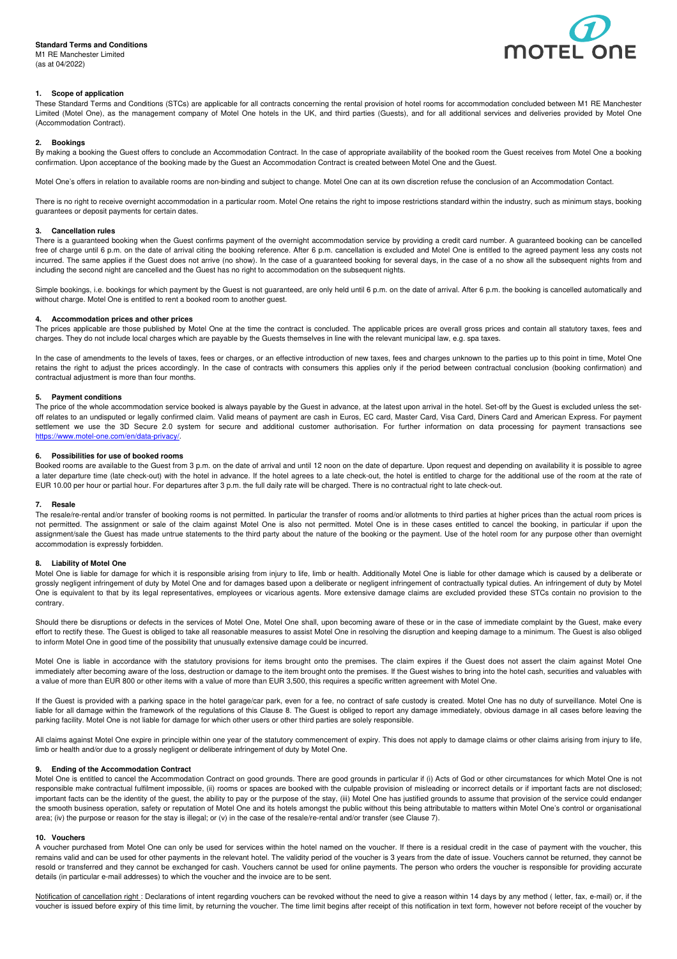## **Standard Terms and Conditions**

M1 RE Manchester Limited (as at 04/2022)



# **1. Scope of application**

These Standard Terms and Conditions (STCs) are applicable for all contracts concerning the rental provision of hotel rooms for accommodation concluded between M1 RE Manchester Limited (Motel One), as the management company of Motel One hotels in the UK, and third parties (Guests), and for all additional services and deliveries provided by Motel One (Accommodation Contract).

#### **2. Bookings**

By making a booking the Guest offers to conclude an Accommodation Contract. In the case of appropriate availability of the booked room the Guest receives from Motel One a booking confirmation. Upon acceptance of the booking made by the Guest an Accommodation Contract is created between Motel One and the Guest.

Motel One's offers in relation to available rooms are non-binding and subject to change. Motel One can at its own discretion refuse the conclusion of an Accommodation Contact.

There is no right to receive overnight accommodation in a particular room. Motel One retains the right to impose restrictions standard within the industry, such as minimum stays, booking guarantees or deposit payments for certain dates.

# **3. Cancellation rules**

There is a guaranteed booking when the Guest confirms payment of the overnight accommodation service by providing a credit card number. A guaranteed booking can be cancelled free of charge until 6 p.m. on the date of arrival citing the booking reference. After 6 p.m. cancellation is excluded and Motel One is entitled to the agreed payment less any costs not incurred. The same applies if the Guest does not arrive (no show). In the case of a guaranteed booking for several days, in the case of a no show all the subsequent nights from and including the second night are cancelled and the Guest has no right to accommodation on the subsequent nights.

Simple bookings, i.e. bookings for which payment by the Guest is not guaranteed, are only held until 6 p.m. on the date of arrival. After 6 p.m. the booking is cancelled automatically and without charge. Motel One is entitled to rent a booked room to another guest.

### **4. Accommodation prices and other prices**

The prices applicable are those published by Motel One at the time the contract is concluded. The applicable prices are overall gross prices and contain all statutory taxes, fees and charges. They do not include local charges which are payable by the Guests themselves in line with the relevant municipal law, e.g. spa taxes.

In the case of amendments to the levels of taxes, fees or charges, or an effective introduction of new taxes, fees and charges unknown to the parties up to this point in time, Motel One retains the right to adjust the prices accordingly. In the case of contracts with consumers this applies only if the period between contractual conclusion (booking confirmation) and contractual adjustment is more than four months.

### **5. Payment conditions**

The price of the whole accommodation service booked is always payable by the Guest in advance, at the latest upon arrival in the hotel. Set-off by the Guest is excluded unless the setoff relates to an undisputed or legally confirmed claim. Valid means of payment are cash in Euros, EC card, Master Card, Visa Card, Diners Card and American Express. For payment settlement we use the 3D Secure 2.0 system for secure and additional customer authorisation. For further information on data processing for payment transactions see https://www.motel-one.com/en/data-privacy/.

#### **6. Possibilities for use of booked rooms**

Booked rooms are available to the Guest from 3 p.m. on the date of arrival and until 12 noon on the date of departure. Upon request and depending on availability it is possible to agree a later departure time (late check-out) with the hotel in advance. If the hotel agrees to a late check-out, the hotel is entitled to charge for the additional use of the room at the rate of EUR 10.00 per hour or partial hour. For departures after 3 p.m. the full daily rate will be charged. There is no contractual right to late check-out.

#### **7. Resale**

The resale/re-rental and/or transfer of booking rooms is not permitted. In particular the transfer of rooms and/or allotments to third parties at higher prices than the actual room prices is not permitted. The assignment or sale of the claim against Motel One is also not permitted. Motel One is in these cases entitled to cancel the booking, in particular if upon the assignment/sale the Guest has made untrue statements to the third party about the nature of the booking or the payment. Use of the hotel room for any purpose other than overnight accommodation is expressly forbidden.

#### **8. Liability of Motel One**

Motel One is liable for damage for which it is responsible arising from injury to life, limb or health. Additionally Motel One is liable for other damage which is caused by a deliberate or grossly negligent infringement of duty by Motel One and for damages based upon a deliberate or negligent infringement of contractually typical duties. An infringement of duty by Motel One is equivalent to that by its legal representatives, employees or vicarious agents. More extensive damage claims are excluded provided these STCs contain no provision to the contrary.

Should there be disruptions or defects in the services of Motel One, Motel One shall, upon becoming aware of these or in the case of immediate complaint by the Guest, make every effort to rectify these. The Guest is obliged to take all reasonable measures to assist Motel One in resolving the disruption and keeping damage to a minimum. The Guest is also obliged to inform Motel One in good time of the possibility that unusually extensive damage could be incurred.

Motel One is liable in accordance with the statutory provisions for items brought onto the premises. The claim expires if the Guest does not assert the claim against Motel One immediately after becoming aware of the loss, destruction or damage to the item brought onto the premises. If the Guest wishes to bring into the hotel cash, securities and valuables with a value of more than EUR 800 or other items with a value of more than EUR 3,500, this requires a specific written agreement with Motel One.

If the Guest is provided with a parking space in the hotel garage/car park, even for a fee, no contract of safe custody is created. Motel One has no duty of surveillance. Motel One is liable for all damage within the framework of the regulations of this Clause 8. The Guest is obliged to report any damage immediately, obvious damage in all cases before leaving the parking facility. Motel One is not liable for damage for which other users or other third parties are solely responsible.

All claims against Motel One expire in principle within one year of the statutory commencement of expiry. This does not apply to damage claims or other claims arising from injury to life, limb or health and/or due to a grossly negligent or deliberate infringement of duty by Motel One.

### **9. Ending of the Accommodation Contract**

Motel One is entitled to cancel the Accommodation Contract on good grounds. There are good grounds in particular if (i) Acts of God or other circumstances for which Motel One is not responsible make contractual fulfilment impossible, (ii) rooms or spaces are booked with the culpable provision of misleading or incorrect details or if important facts are not disclosed; important facts can be the identity of the guest, the ability to pay or the purpose of the stay, (iii) Motel One has justified grounds to assume that provision of the service could endanger the smooth business operation, safety or reputation of Motel One and its hotels amongst the public without this being attributable to matters within Motel One's control or organisational area; (iv) the purpose or reason for the stay is illegal; or (v) in the case of the resale/re-rental and/or transfer (see Clause 7).

#### **10. Vouchers**

A voucher purchased from Motel One can only be used for services within the hotel named on the voucher. If there is a residual credit in the case of payment with the voucher, this remains valid and can be used for other payments in the relevant hotel. The validity period of the voucher is 3 years from the date of issue. Vouchers cannot be returned, they cannot be resold or transferred and they cannot be exchanged for cash. Vouchers cannot be used for online payments. The person who orders the voucher is responsible for providing accurate details (in particular e-mail addresses) to which the voucher and the invoice are to be sent.

Notification of cancellation right : Declarations of intent regarding vouchers can be revoked without the need to give a reason within 14 days by any method (letter, fax, e-mail) or, if the voucher is issued before expiry of this time limit, by returning the voucher. The time limit begins after receipt of this notification in text form, however not before receipt of the voucher by